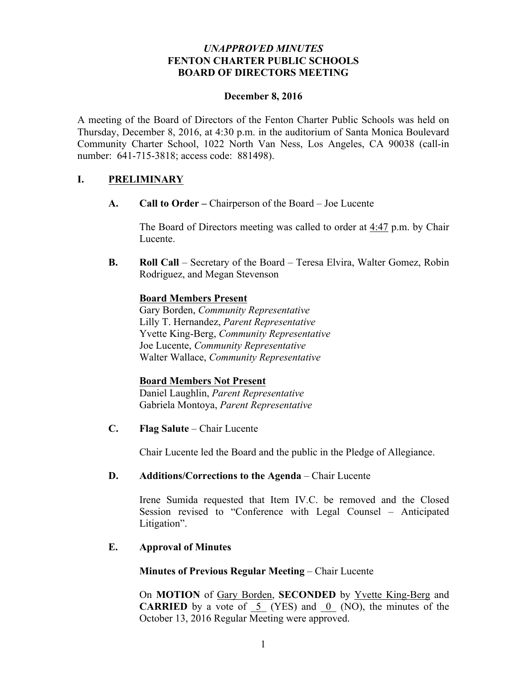## *UNAPPROVED MINUTES* **FENTON CHARTER PUBLIC SCHOOLS BOARD OF DIRECTORS MEETING**

#### **December 8, 2016**

A meeting of the Board of Directors of the Fenton Charter Public Schools was held on Thursday, December 8, 2016, at 4:30 p.m. in the auditorium of Santa Monica Boulevard Community Charter School, 1022 North Van Ness, Los Angeles, CA 90038 (call-in number: 641-715-3818; access code: 881498).

### **I. PRELIMINARY**

**A. Call to Order –** Chairperson of the Board – Joe Lucente

The Board of Directors meeting was called to order at 4:47 p.m. by Chair Lucente.

**B. Roll Call** – Secretary of the Board – Teresa Elvira, Walter Gomez, Robin Rodriguez, and Megan Stevenson

#### **Board Members Present**

Gary Borden, *Community Representative* Lilly T. Hernandez, *Parent Representative* Yvette King-Berg, *Community Representative* Joe Lucente, *Community Representative* Walter Wallace, *Community Representative* 

#### **Board Members Not Present**

Daniel Laughlin, *Parent Representative* Gabriela Montoya, *Parent Representative*

**C. Flag Salute** – Chair Lucente

Chair Lucente led the Board and the public in the Pledge of Allegiance.

### **D. Additions/Corrections to the Agenda** – Chair Lucente

Irene Sumida requested that Item IV.C. be removed and the Closed Session revised to "Conference with Legal Counsel – Anticipated Litigation".

# **E. Approval of Minutes**

**Minutes of Previous Regular Meeting** – Chair Lucente

On **MOTION** of Gary Borden, **SECONDED** by Yvette King-Berg and **CARRIED** by a vote of  $\overline{5}$  (YES) and  $\overline{0}$  (NO), the minutes of the October 13, 2016 Regular Meeting were approved.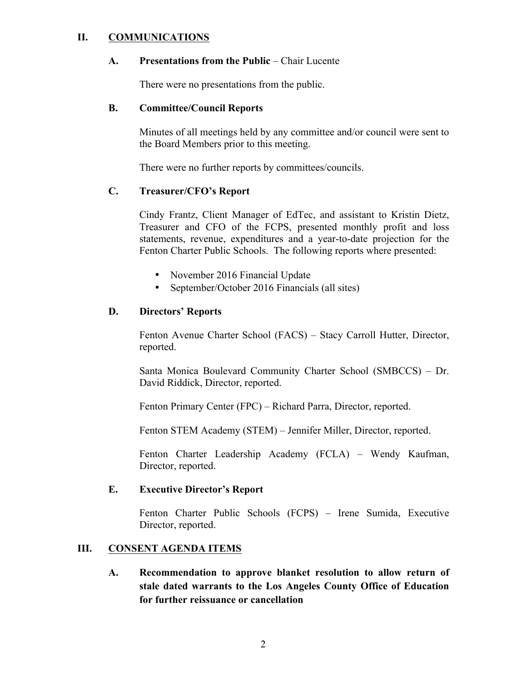### **II. COMMUNICATIONS**

#### **A. Presentations from the Public** – Chair Lucente

There were no presentations from the public.

#### **B. Committee/Council Reports**

Minutes of all meetings held by any committee and/or council were sent to the Board Members prior to this meeting.

There were no further reports by committees/councils.

# **C. Treasurer/CFO's Report**

Cindy Frantz, Client Manager of EdTec, and assistant to Kristin Dietz, Treasurer and CFO of the FCPS, presented monthly profit and loss statements, revenue, expenditures and a year-to-date projection for the Fenton Charter Public Schools. The following reports where presented:

- November 2016 Financial Update
- September/October 2016 Financials (all sites)

### **D. Directors' Reports**

Fenton Avenue Charter School (FACS) – Stacy Carroll Hutter, Director, reported.

Santa Monica Boulevard Community Charter School (SMBCCS) – Dr. David Riddick, Director, reported.

Fenton Primary Center (FPC) – Richard Parra, Director, reported.

Fenton STEM Academy (STEM) – Jennifer Miller, Director, reported.

Fenton Charter Leadership Academy (FCLA) – Wendy Kaufman, Director, reported.

#### **E. Executive Director's Report**

Fenton Charter Public Schools (FCPS) – Irene Sumida, Executive Director, reported.

# **III. CONSENT AGENDA ITEMS**

**A. Recommendation to approve blanket resolution to allow return of stale dated warrants to the Los Angeles County Office of Education for further reissuance or cancellation**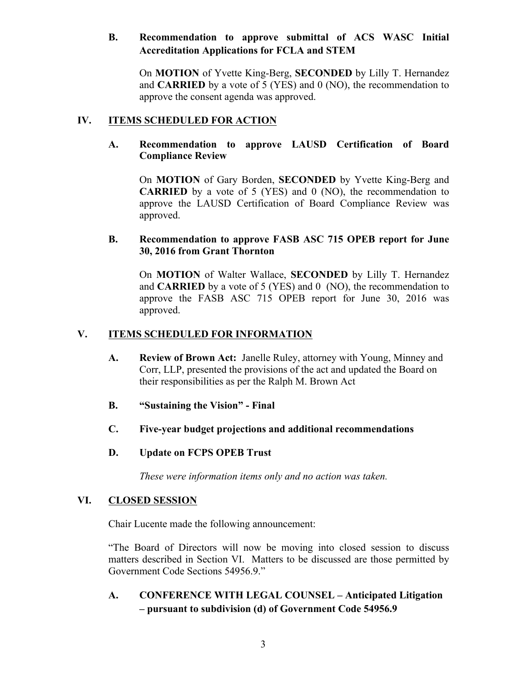# **B. Recommendation to approve submittal of ACS WASC Initial Accreditation Applications for FCLA and STEM**

On **MOTION** of Yvette King-Berg, **SECONDED** by Lilly T. Hernandez and **CARRIED** by a vote of 5 (YES) and 0 (NO), the recommendation to approve the consent agenda was approved.

# **IV. ITEMS SCHEDULED FOR ACTION**

### **A. Recommendation to approve LAUSD Certification of Board Compliance Review**

On **MOTION** of Gary Borden, **SECONDED** by Yvette King-Berg and **CARRIED** by a vote of 5 (YES) and 0 (NO), the recommendation to approve the LAUSD Certification of Board Compliance Review was approved.

### **B. Recommendation to approve FASB ASC 715 OPEB report for June 30, 2016 from Grant Thornton**

On **MOTION** of Walter Wallace, **SECONDED** by Lilly T. Hernandez and **CARRIED** by a vote of 5 (YES) and 0 (NO), the recommendation to approve the FASB ASC 715 OPEB report for June 30, 2016 was approved.

# **V. ITEMS SCHEDULED FOR INFORMATION**

- **A. Review of Brown Act:** Janelle Ruley, attorney with Young, Minney and Corr, LLP, presented the provisions of the act and updated the Board on their responsibilities as per the Ralph M. Brown Act
- **B. "Sustaining the Vision" - Final**
- **C. Five-year budget projections and additional recommendations**
- **D. Update on FCPS OPEB Trust**

*These were information items only and no action was taken.*

#### **VI. CLOSED SESSION**

Chair Lucente made the following announcement:

"The Board of Directors will now be moving into closed session to discuss matters described in Section VI. Matters to be discussed are those permitted by Government Code Sections 54956.9."

**A. CONFERENCE WITH LEGAL COUNSEL – Anticipated Litigation – pursuant to subdivision (d) of Government Code 54956.9**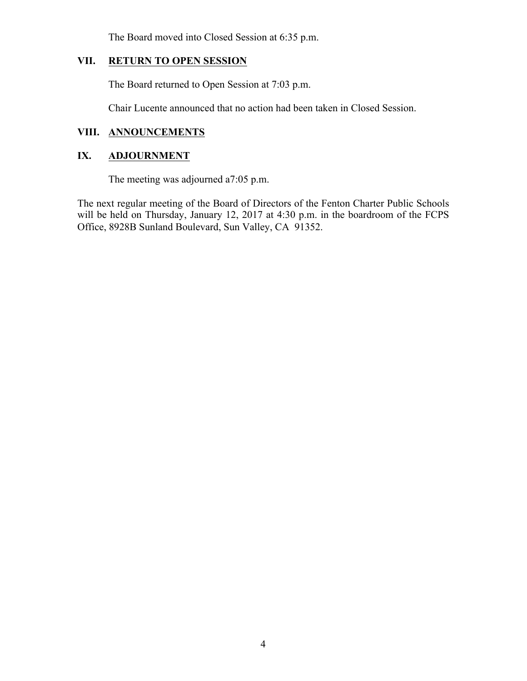The Board moved into Closed Session at 6:35 p.m.

# **VII. RETURN TO OPEN SESSION**

The Board returned to Open Session at 7:03 p.m.

Chair Lucente announced that no action had been taken in Closed Session.

# **VIII. ANNOUNCEMENTS**

## **IX. ADJOURNMENT**

The meeting was adjourned a7:05 p.m.

The next regular meeting of the Board of Directors of the Fenton Charter Public Schools will be held on Thursday, January 12, 2017 at 4:30 p.m. in the boardroom of the FCPS Office, 8928B Sunland Boulevard, Sun Valley, CA 91352.